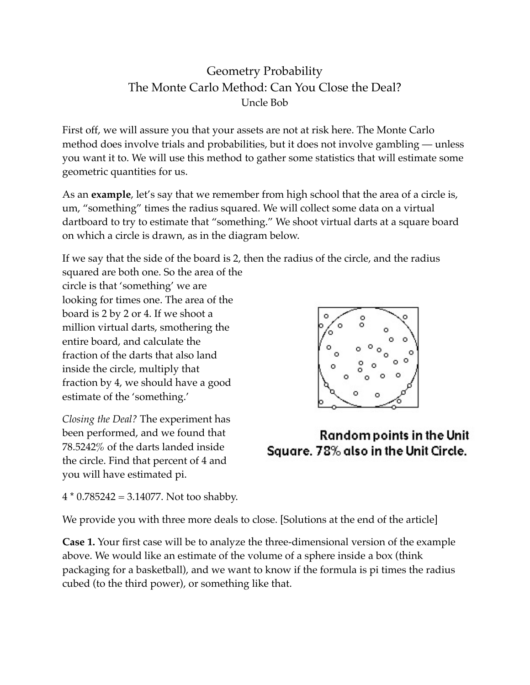## Geometry Probability The Monte Carlo Method: Can You Close the Deal? Uncle Bob

First off, we will assure you that your assets are not at risk here. The Monte Carlo method does involve trials and probabilities, but it does not involve gambling — unless you want it to. We will use this method to gather some statistics that will estimate some geometric quantities for us.

As an **example**, let's say that we remember from high school that the area of a circle is, um, "something" times the radius squared. We will collect some data on a virtual dartboard to try to estimate that "something." We shoot virtual darts at a square board on which a circle is drawn, as in the diagram below.

If we say that the side of the board is 2, then the radius of the circle, and the radius squared are both one. So the area of the

circle is that 'something' we are looking for times one. The area of the board is 2 by 2 or 4. If we shoot a million virtual darts, smothering the entire board, and calculate the fraction of the darts that also land inside the circle, multiply that fraction by 4, we should have a good estimate of the 'something.'

*Closing the Deal?* The experiment has been performed, and we found that 78.5242% of the darts landed inside the circle. Find that percent of 4 and you will have estimated pi.

 $4 * 0.785242 = 3.14077$ . Not too shabby.



**Case 1.** Your first case will be to analyze the three-dimensional version of the example above. We would like an estimate of the volume of a sphere inside a box (think packaging for a basketball), and we want to know if the formula is pi times the radius cubed (to the third power), or something like that.



## **Random points in the Unit** Square. 78% also in the Unit Circle.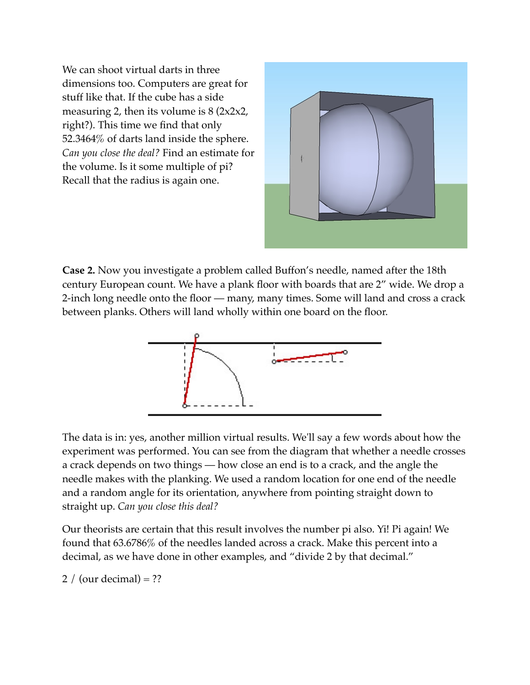We can shoot virtual darts in three dimensions too. Computers are great for stuff like that. If the cube has a side measuring 2, then its volume is 8 (2x2x2, right?). This time we find that only 52.3464% of darts land inside the sphere. *Can you close the deal?* Find an estimate for the volume. Is it some multiple of pi? Recall that the radius is again one.



**Case 2.** Now you investigate a problem called Buffon's needle, named after the 18th century European count. We have a plank floor with boards that are 2" wide. We drop a 2-inch long needle onto the floor — many, many times. Some will land and cross a crack between planks. Others will land wholly within one board on the floor.



The data is in: yes, another million virtual results. We'll say a few words about how the experiment was performed. You can see from the diagram that whether a needle crosses a crack depends on two things — how close an end is to a crack, and the angle the needle makes with the planking. We used a random location for one end of the needle and a random angle for its orientation, anywhere from pointing straight down to straight up. *Can you close this deal?*

Our theorists are certain that this result involves the number pi also. Yi! Pi again! We found that 63.6786% of the needles landed across a crack. Make this percent into a decimal, as we have done in other examples, and "divide 2 by that decimal."

2 / (our decimal) = ??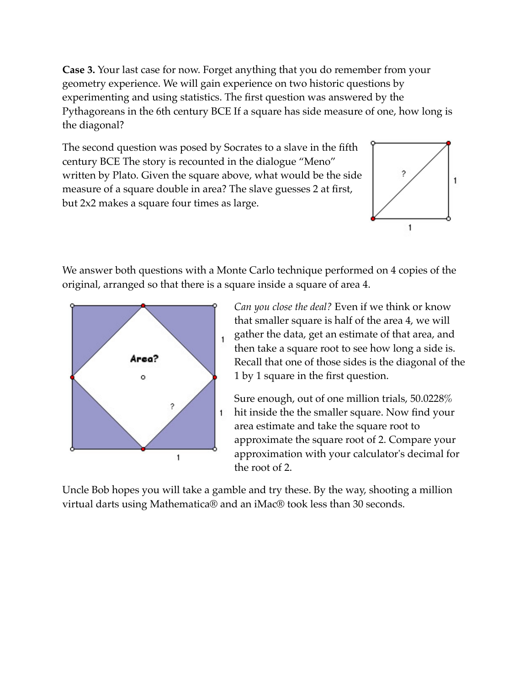**Case 3.** Your last case for now. Forget anything that you do remember from your geometry experience. We will gain experience on two historic questions by experimenting and using statistics. The first question was answered by the Pythagoreans in the 6th century BCE If a square has side measure of one, how long is the diagonal?

The second question was posed by Socrates to a slave in the fifth century BCE The story is recounted in the dialogue "Meno" written by Plato. Given the square above, what would be the side measure of a square double in area? The slave guesses 2 at first, but 2x2 makes a square four times as large.



We answer both questions with a Monte Carlo technique performed on 4 copies of the original, arranged so that there is a square inside a square of area 4.



*Can you close the deal?* Even if we think or know that smaller square is half of the area 4, we will gather the data, get an estimate of that area, and then take a square root to see how long a side is. Recall that one of those sides is the diagonal of the 1 by 1 square in the first question.

Sure enough, out of one million trials, 50.0228% hit inside the the smaller square. Now find your area estimate and take the square root to approximate the square root of 2. Compare your approximation with your calculator's decimal for the root of 2.

Uncle Bob hopes you will take a gamble and try these. By the way, shooting a million virtual darts using Mathematica® and an iMac® took less than 30 seconds.